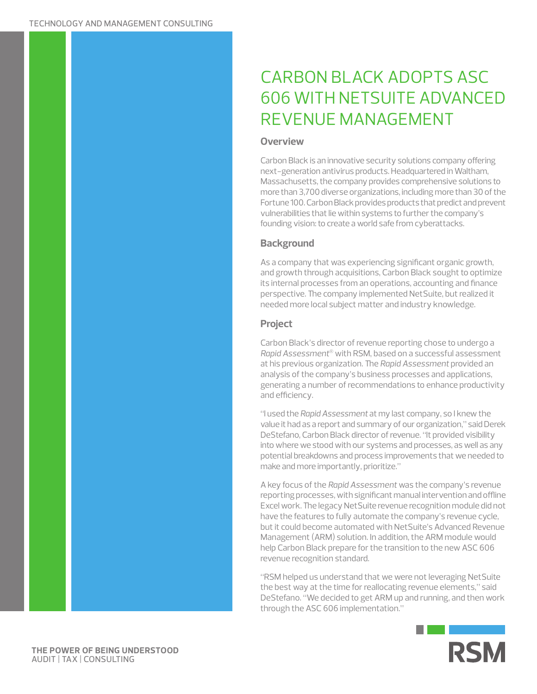# CARBON BLACK ADOPTS ASC 606 WITH NETSUITE ADVANCED REVENUE MANAGEMENT

#### **Overview**

Carbon Black is an innovative security solutions company offering next-generation antivirus products. Headquartered in Waltham, Massachusetts, the company provides comprehensive solutions to more than 3,700 diverse organizations, including more than 30 of the Fortune 100. Carbon Black provides products that predict and prevent vulnerabilities that lie within systems to further the company's founding vision: to create a world safe from cyberattacks.

## **Background**

As a company that was experiencing significant organic growth, and growth through acquisitions, Carbon Black sought to optimize its internal processes from an operations, accounting and finance perspective. The company implemented NetSuite, but realized it needed more local subject matter and industry knowledge.

## **Project**

Carbon Black's director of revenue reporting chose to undergo a *Rapid Assessment*® with RSM, based on a successful assessment at his previous organization. The *Rapid Assessment* provided an analysis of the company's business processes and applications, generating a number of recommendations to enhance productivity and efficiency.

"I used the *Rapid Assessment* at my last company, so I knew the value it had as a report and summary of our organization," said Derek DeStefano, Carbon Black director of revenue. "It provided visibility into where we stood with our systems and processes, as well as any potential breakdowns and process improvements that we needed to make and more importantly, prioritize."

A key focus of the *Rapid Assessment* was the company's revenue reporting processes, with significant manual intervention and offline Excel work. The legacy NetSuite revenue recognition module did not have the features to fully automate the company's revenue cycle, but it could become automated with NetSuite's Advanced Revenue Management (ARM) solution. In addition, the ARM module would help Carbon Black prepare for the transition to the new ASC 606 revenue recognition standard.

"RSM helped us understand that we were not leveraging NetSuite the best way at the time for reallocating revenue elements," said DeStefano. "We decided to get ARM up and running, and then work through the ASC 606 implementation."

m.



**THE POWER OF BEING UNDERSTOOD** AUDIT | TAX | CONSULTING